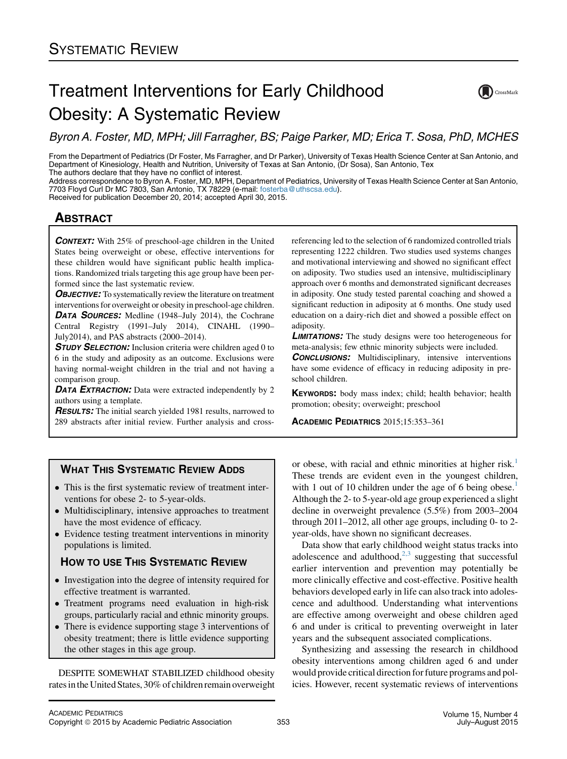## Treatment Interventions for Early Childhood Obesity: A Systematic Review

 $\sum$  CrossMark

Byron A. Foster, MD, MPH; Jill Farragher, BS; Paige Parker, MD; Erica T. Sosa, PhD, MCHES

From the Department of Pediatrics (Dr Foster, Ms Farragher, and Dr Parker), University of Texas Health Science Center at San Antonio, and Department of Kinesiology, Health and Nutrition, University of Texas at San Antonio, (Dr Sosa), San Antonio, Tex The authors declare that they have no conflict of interest.

Address correspondence to Byron A. Foster, MD, MPH, Department of Pediatrics, University of Texas Health Science Center at San Antonio, 7703 Floyd Curl Dr MC 7803, San Antonio, TX 78229 (e-mail: [fosterba@uthscsa.edu\)](mailto:fosterba@uthscsa.edu).

Received for publication December 20, 2014; accepted April 30, 2015.

# <u>ABSOLUTE A STRACTURE A</u>

CONTEXT: With 25% of preschool-age children in the United States being overweight or obese, effective interventions for these children would have significant public health implications. Randomized trials targeting this age group have been performed since the last systematic review.

**OBJECTIVE:** To systematically review the literature on treatment interventions for overweight or obesity in preschool-age children. **DATA SOURCES:** Medline (1948–July 2014), the Cochrane Central Registry (1991–July 2014), CINAHL (1990– July2014), and PAS abstracts (2000–2014).

**STUDY SELECTION:** Inclusion criteria were children aged 0 to 6 in the study and adiposity as an outcome. Exclusions were having normal-weight children in the trial and not having a comparison group.

DATA EXTRACTION: Data were extracted independently by 2 authors using a template.

**RESULTS:** The initial search yielded 1981 results, narrowed to 289 abstracts after initial review. Further analysis and crossreferencing led to the selection of 6 randomized controlled trials representing 1222 children. Two studies used systems changes and motivational interviewing and showed no significant effect on adiposity. Two studies used an intensive, multidisciplinary approach over 6 months and demonstrated significant decreases in adiposity. One study tested parental coaching and showed a significant reduction in adiposity at 6 months. One study used education on a dairy-rich diet and showed a possible effect on adiposity.

**LIMITATIONS:** The study designs were too heterogeneous for meta-analysis; few ethnic minority subjects were included.

**CONCLUSIONS:** Multidisciplinary, intensive interventions have some evidence of efficacy in reducing adiposity in preschool children.

KEYWORDS: body mass index; child; health behavior; health promotion; obesity; overweight; preschool

ACADEMIC PEDIATRICS 2015;15:353–361

## **WHAT THIS SYSTEMATIC REVIEW ADDS**

- which this systematic review adds This is the first systematic review of treatment interventions for obese 2- to 5-year-olds.
- Multidisciplinary, intensive approaches to treatment have the most evidence of efficacy.
- Evidence testing treatment interventions in minority populations is limited.

## **HOW TO USE THIS SYSTEMATIC REVIEW**

- HOW TO USE THIS SYSTEMATIC REVIEW Investigation into the degree of intensity required for effective treatment is warranted.
- Treatment programs need evaluation in high-risk groups, particularly racial and ethnic minority groups.
- There is evidence supporting stage 3 interventions of obesity treatment; there is little evidence supporting the other stages in this age group.

DESPITE SOMEWHAT STABILIZED childhood obesity rates in the United States, 30% of children remain overweight

or obese, with racial and ethnic minorities at higher risk.<sup>[1](#page-7-0)</sup> These trends are evident even in the youngest children, with 1 out of 10 children under the age of 6 being obese.<sup>1</sup> Although the 2- to 5-year-old age group experienced a slight decline in overweight prevalence (5.5%) from 2003–2004 through 2011–2012, all other age groups, including 0- to 2 year-olds, have shown no significant decreases.

Data show that early childhood weight status tracks into adolescence and adulthood, $2,3$  suggesting that successful earlier intervention and prevention may potentially be more clinically effective and cost-effective. Positive health behaviors developed early in life can also track into adolescence and adulthood. Understanding what interventions are effective among overweight and obese children aged 6 and under is critical to preventing overweight in later years and the subsequent associated complications.

Synthesizing and assessing the research in childhood obesity interventions among children aged 6 and under would provide critical direction for future programs and policies. However, recent systematic reviews of interventions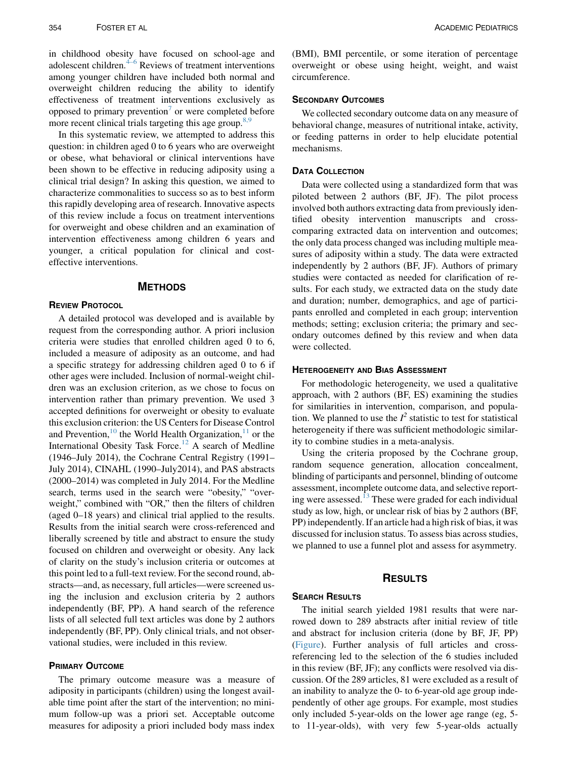in childhood obesity have focused on school-age and adolescent children. $4-6$  Reviews of treatment interventions among younger children have included both normal and overweight children reducing the ability to identify effectiveness of treatment interventions exclusively as opposed to primary prevention<sup>[7](#page-7-0)</sup> or were completed before more recent clinical trials targeting this age group.<sup>8,9</sup>

In this systematic review, we attempted to address this question: in children aged 0 to 6 years who are overweight or obese, what behavioral or clinical interventions have been shown to be effective in reducing adiposity using a clinical trial design? In asking this question, we aimed to characterize commonalities to success so as to best inform this rapidly developing area of research. Innovative aspects of this review include a focus on treatment interventions for overweight and obese children and an examination of intervention effectiveness among children 6 years and younger, a critical population for clinical and costeffective interventions.

## METHODS

A detailed protocol was developed and is available by request from the corresponding author. A priori inclusion criteria were studies that enrolled children aged 0 to 6, included a measure of adiposity as an outcome, and had a specific strategy for addressing children aged 0 to 6 if other ages were included. Inclusion of normal-weight children was an exclusion criterion, as we chose to focus on intervention rather than primary prevention. We used 3 accepted definitions for overweight or obesity to evaluate this exclusion criterion: the US Centers for Disease Control and Prevention,<sup>10</sup> the World Health Organization,<sup>[11](#page-7-0)</sup> or the International Obesity Task Force.<sup>[12](#page-7-0)</sup> A search of Medline (1946–July 2014), the Cochrane Central Registry (1991– July 2014), CINAHL (1990–July2014), and PAS abstracts (2000–2014) was completed in July 2014. For the Medline search, terms used in the search were "obesity," "overweight," combined with "OR," then the filters of children (aged 0–18 years) and clinical trial applied to the results. Results from the initial search were cross-referenced and liberally screened by title and abstract to ensure the study focused on children and overweight or obesity. Any lack of clarity on the study's inclusion criteria or outcomes at this point led to a full-text review. For the second round, abstracts—and, as necessary, full articles—were screened using the inclusion and exclusion criteria by 2 authors independently (BF, PP). A hand search of the reference lists of all selected full text articles was done by 2 authors independently (BF, PP). Only clinical trials, and not observational studies, were included in this review.

### **PRIMARY OUTCOME**

The primary outcome measure was a measure of adiposity in participants (children) using the longest available time point after the start of the intervention; no minimum follow-up was a priori set. Acceptable outcome measures for adiposity a priori included body mass index

(BMI), BMI percentile, or some iteration of percentage overweight or obese using height, weight, and waist circumference.

We collected secondary outcome data on any measure of behavioral change, measures of nutritional intake, activity, or feeding patterns in order to help elucidate potential mechanisms.

## **DATA COLLECTION**

Data were collected using a standardized form that was piloted between 2 authors (BF, JF). The pilot process involved both authors extracting data from previously identified obesity intervention manuscripts and crosscomparing extracted data on intervention and outcomes; the only data process changed was including multiple measures of adiposity within a study. The data were extracted independently by 2 authors (BF, JF). Authors of primary studies were contacted as needed for clarification of results. For each study, we extracted data on the study date and duration; number, demographics, and age of participants enrolled and completed in each group; intervention methods; setting; exclusion criteria; the primary and secondary outcomes defined by this review and when data were collected.

### **HETEROGENEITY AND BIAS ASSESSMENT**

For methodologic heterogeneity, we used a qualitative approach, with 2 authors (BF, ES) examining the studies for similarities in intervention, comparison, and population. We planned to use the  $I^2$  statistic to test for statistical heterogeneity if there was sufficient methodologic similarity to combine studies in a meta-analysis.

Using the criteria proposed by the Cochrane group, random sequence generation, allocation concealment, blinding of participants and personnel, blinding of outcome assessment, incomplete outcome data, and selective report-ing were assessed.<sup>[13](#page-7-0)</sup> These were graded for each individual study as low, high, or unclear risk of bias by 2 authors (BF, PP) independently. If an article had a high risk of bias, it was discussed for inclusion status. To assess bias across studies, we planned to use a funnel plot and assess for asymmetry.

## RESULTS

The initial search yielded 1981 results that were narrowed down to 289 abstracts after initial review of title and abstract for inclusion criteria (done by BF, JF, PP) ([Figure\)](#page-2-0). Further analysis of full articles and crossreferencing led to the selection of the 6 studies included in this review (BF, JF); any conflicts were resolved via discussion. Of the 289 articles, 81 were excluded as a result of an inability to analyze the 0- to 6-year-old age group independently of other age groups. For example, most studies only included 5-year-olds on the lower age range (eg, 5 to 11-year-olds), with very few 5-year-olds actually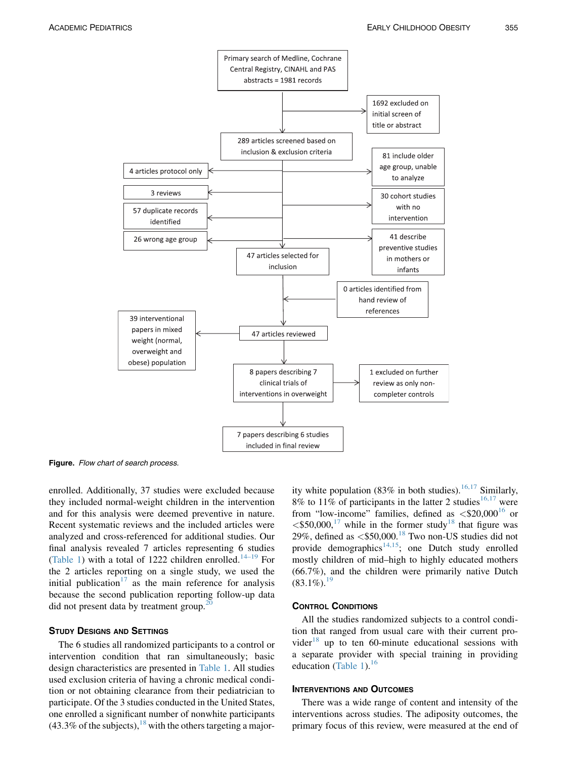<span id="page-2-0"></span>

Figure. Flow chart of search process.

enrolled. Additionally, 37 studies were excluded because they included normal-weight children in the intervention and for this analysis were deemed preventive in nature. Recent systematic reviews and the included articles were analyzed and cross-referenced for additional studies. Our final analysis revealed 7 articles representing 6 studies ([Table 1](#page-3-0)) with a total of 1222 children enrolled.<sup>[14–19](#page-7-0)</sup> For the 2 articles reporting on a single study, we used the initial publication<sup>[17](#page-7-0)</sup> as the main reference for analysis because the second publication reporting follow-up data did not present data by treatment group.<sup>2</sup>

The 6 studies all randomized participants to a control or intervention condition that ran simultaneously; basic design characteristics are presented in [Table 1](#page-3-0). All studies used exclusion criteria of having a chronic medical condition or not obtaining clearance from their pediatrician to participate. Of the 3 studies conducted in the United States, one enrolled a significant number of nonwhite participants  $(43.3\%$  of the subjects), <sup>[18](#page-7-0)</sup> with the others targeting a majority white population (83% in both studies).<sup>[16,17](#page-7-0)</sup> Similarly, 8% to 11% of participants in the latter 2 studies<sup>[16,17](#page-7-0)</sup> were from "low-income" families, defined as  $\langle $20,000^{16} \rangle$  $\langle $20,000^{16} \rangle$  $\langle $20,000^{16} \rangle$  or  $<$ \$50,000,<sup>[17](#page-7-0)</sup> while in the former study<sup>[18](#page-7-0)</sup> that figure was 29%, defined as  $\langle$ \$50,000.<sup>[18](#page-7-0)</sup> Two non-US studies did not provide demographics<sup>14,15</sup>; one Dutch study enrolled mostly children of mid–high to highly educated mothers (66.7%), and the children were primarily native Dutch  $(83.1\%)$ <sup>[19](#page-7-0)</sup>

All the studies randomized subjects to a control condition that ranged from usual care with their current pro-vider<sup>[18](#page-7-0)</sup> up to ten 60-minute educational sessions with a separate provider with special training in providing education ([Table 1](#page-3-0)). $^{16}$  $^{16}$  $^{16}$ 

### **INTERVENTIONS AND OUTCOMES**

There was a wide range of content and intensity of the interventions across studies. The adiposity outcomes, the primary focus of this review, were measured at the end of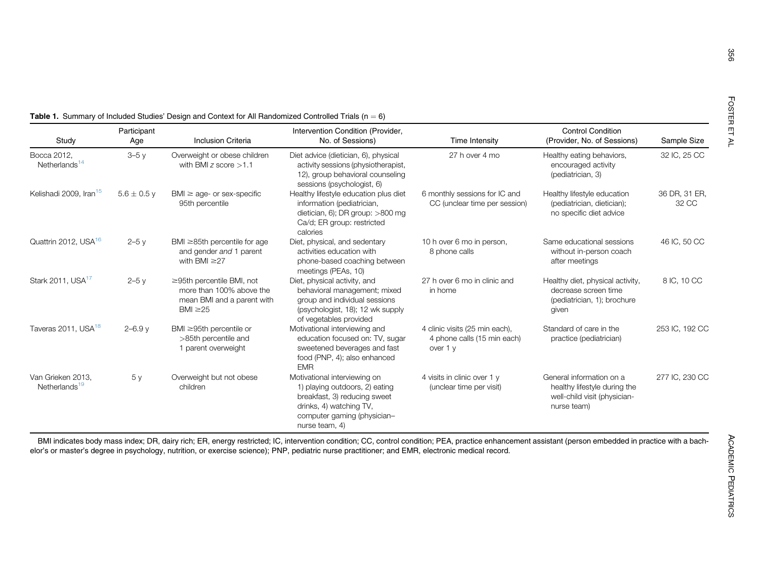|                                                | Participant     |                                                                                                            | Intervention Condition (Provider,                                                                                                                                          |                                                                           | <b>Control Condition</b>                                                                                |                        |
|------------------------------------------------|-----------------|------------------------------------------------------------------------------------------------------------|----------------------------------------------------------------------------------------------------------------------------------------------------------------------------|---------------------------------------------------------------------------|---------------------------------------------------------------------------------------------------------|------------------------|
| Study                                          | Age             | <b>Inclusion Criteria</b>                                                                                  | No. of Sessions)                                                                                                                                                           | Time Intensity                                                            | (Provider, No. of Sessions)                                                                             | Sample Size            |
| Bocca 2012,<br>Netherlands <sup>14</sup>       | $3-5y$          | Overweight or obese children<br>with BMI z score $>1.1$                                                    | Diet advice (dietician, 6), physical<br>activity sessions (physiotherapist,<br>12), group behavioral counseling<br>sessions (psychologist, 6)                              | 27 h over 4 mo                                                            | Healthy eating behaviors,<br>encouraged activity<br>(pediatrician, 3)                                   | 32 IC, 25 CC           |
| Kelishadi 2009, Iran <sup>15</sup>             | $5.6 \pm 0.5$ y | $BMI \geq aqe$ - or sex-specific<br>95th percentile                                                        | Healthy lifestyle education plus diet<br>information (pediatrician,<br>dietician, 6); DR group: $>800$ mg<br>Ca/d; ER group: restricted<br>calories                        | 6 monthly sessions for IC and<br>CC (unclear time per session)            | Healthy lifestyle education<br>(pediatrician, dietician);<br>no specific diet advice                    | 36 DR, 31 ER,<br>32 CC |
| Quattrin 2012, USA <sup>16</sup>               | $2-5y$          | BMI $\geq$ 85th percentile for age<br>and gender and 1 parent<br>with BMI $\geq$ 27                        | Diet, physical, and sedentary<br>activities education with<br>phone-based coaching between<br>meetings (PEAs, 10)                                                          | 10 h over 6 mo in person,<br>8 phone calls                                | Same educational sessions<br>without in-person coach<br>after meetings                                  | 46 IC, 50 CC           |
| Stark 2011, USA <sup>17</sup>                  | $2-5y$          | $\geq$ 95th percentile BMI, not<br>more than 100% above the<br>mean BMI and a parent with<br>BMI $\geq$ 25 | Diet, physical activity, and<br>behavioral management; mixed<br>group and individual sessions<br>(psychologist, 18); 12 wk supply<br>of vegetables provided                | 27 h over 6 mo in clinic and<br>in home                                   | Healthy diet, physical activity,<br>decrease screen time<br>(pediatrician, 1); brochure<br>given        | 8 IC, 10 CC            |
| Taveras 2011, USA <sup>18</sup>                | $2 - 6.9y$      | BMI $\geq$ 95th percentile or<br>>85th percentile and<br>1 parent overweight                               | Motivational interviewing and<br>education focused on: TV, sugar<br>sweetened beverages and fast<br>food (PNP, 4); also enhanced<br><b>EMR</b>                             | 4 clinic visits (25 min each),<br>4 phone calls (15 min each)<br>over 1 y | Standard of care in the<br>practice (pediatrician)                                                      | 253 IC, 192 CC         |
| Van Grieken 2013,<br>Netherlands <sup>19</sup> | 5y              | Overweight but not obese<br>children                                                                       | Motivational interviewing on<br>1) playing outdoors, 2) eating<br>breakfast, 3) reducing sweet<br>drinks, 4) watching TV,<br>computer gaming (physician-<br>nurse team, 4) | 4 visits in clinic over 1 y<br>(unclear time per visit)                   | General information on a<br>healthy lifestyle during the<br>well-child visit (physician-<br>nurse team) | 277 IC, 230 CC         |

<span id="page-3-0"></span>**Table 1.** Summary of Included Studies' Design and Context for All Randomized Controlled Trials (n = 6)

BMI indicates body mass index; DR, dairy rich; ER, energy restricted; IC, intervention condition; CC, control condition; PEA, practice enhancement assistant (person embedded in practice with a bachelor's or master's degree in psychology, nutrition, or exercise science); PNP, pediatric nurse practitioner; and EMR, electronic medical record.

356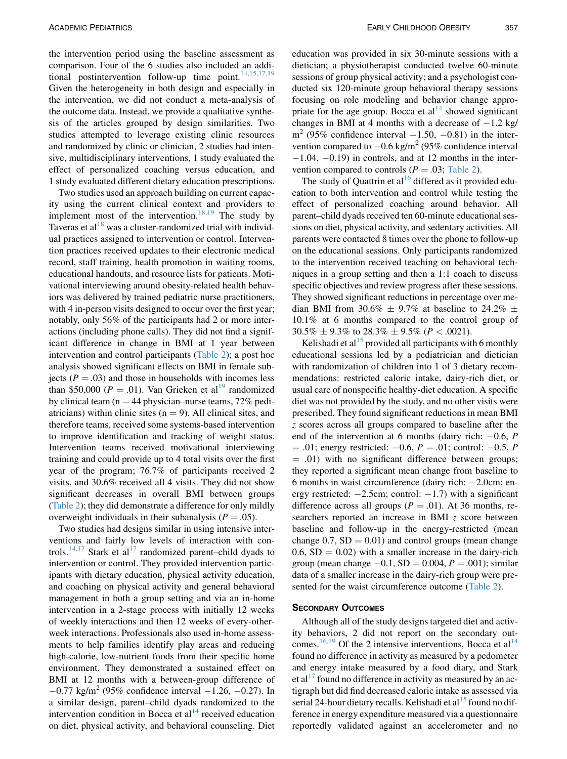the intervention period using the baseline assessment as comparison. Four of the 6 studies also included an additional postintervention follow-up time point. $14,15,17,19$ Given the heterogeneity in both design and especially in the intervention, we did not conduct a meta-analysis of the outcome data. Instead, we provide a qualitative synthesis of the articles grouped by design similarities. Two studies attempted to leverage existing clinic resources and randomized by clinic or clinician, 2 studies had intensive, multidisciplinary interventions, 1 study evaluated the effect of personalized coaching versus education, and 1 study evaluated different dietary education prescriptions.

Two studies used an approach building on current capacity using the current clinical context and providers to implement most of the intervention.<sup>[18,19](#page-7-0)</sup> The study by Taveras et al $^{18}$  $^{18}$  $^{18}$  was a cluster-randomized trial with individual practices assigned to intervention or control. Intervention practices received updates to their electronic medical record, staff training, health promotion in waiting rooms, educational handouts, and resource lists for patients. Motivational interviewing around obesity-related health behaviors was delivered by trained pediatric nurse practitioners, with 4 in-person visits designed to occur over the first year; notably, only 56% of the participants had 2 or more interactions (including phone calls). They did not find a significant difference in change in BMI at 1 year between intervention and control participants [\(Table 2](#page-5-0)); a post hoc analysis showed significant effects on BMI in female subjects ( $P = .03$ ) and those in households with incomes less than \$50,000 ( $P = .01$ ). Van Grieken et al<sup>[19](#page-7-0)</sup> randomized by clinical team ( $n = 44$  physician–nurse teams, 72% pediatricians) within clinic sites  $(n = 9)$ . All clinical sites, and therefore teams, received some systems-based intervention to improve identification and tracking of weight status. Intervention teams received motivational interviewing training and could provide up to 4 total visits over the first year of the program; 76.7% of participants received 2 visits, and 30.6% received all 4 visits. They did not show significant decreases in overall BMI between groups ([Table 2\)](#page-5-0); they did demonstrate a difference for only mildly overweight individuals in their subanalysis ( $P = .05$ ).

Two studies had designs similar in using intensive interventions and fairly low levels of interaction with con-trols.<sup>[14,17](#page-7-0)</sup> Stark et al<sup>[17](#page-7-0)</sup> randomized parent–child dyads to intervention or control. They provided intervention participants with dietary education, physical activity education, and coaching on physical activity and general behavioral management in both a group setting and via an in-home intervention in a 2-stage process with initially 12 weeks of weekly interactions and then 12 weeks of every-otherweek interactions. Professionals also used in-home assessments to help families identify play areas and reducing high-calorie, low-nutrient foods from their specific home environment. They demonstrated a sustained effect on BMI at 12 months with a between-group difference of  $-0.77$  kg/m<sup>2</sup> (95% confidence interval  $-1.26, -0.27$ ). In a similar design, parent–child dyads randomized to the intervention condition in Bocca et  $al<sup>14</sup>$  $al<sup>14</sup>$  $al<sup>14</sup>$  received education on diet, physical activity, and behavioral counseling. Diet

education was provided in six 30-minute sessions with a dietician; a physiotherapist conducted twelve 60-minute sessions of group physical activity; and a psychologist conducted six 120-minute group behavioral therapy sessions focusing on role modeling and behavior change appropriate for the age group. Bocca et  $al<sup>14</sup>$  $al<sup>14</sup>$  $al<sup>14</sup>$  showed significant changes in BMI at 4 months with a decrease of  $-1.2$  kg/  $m<sup>2</sup>$  (95% confidence interval  $-1.50, -0.81$ ) in the intervention compared to  $-0.6$  kg/m<sup>2</sup> (95% confidence interval  $-1.04$ ,  $-0.19$ ) in controls, and at 12 months in the intervention compared to controls ( $P = .03$ ; [Table 2\)](#page-5-0).

The study of Quattrin et al<sup>[16](#page-7-0)</sup> differed as it provided education to both intervention and control while testing the effect of personalized coaching around behavior. All parent–child dyads received ten 60-minute educational sessions on diet, physical activity, and sedentary activities. All parents were contacted 8 times over the phone to follow-up on the educational sessions. Only participants randomized to the intervention received teaching on behavioral techniques in a group setting and then a 1:1 coach to discuss specific objectives and review progress after these sessions. They showed significant reductions in percentage over median BMI from 30.6%  $\pm$  9.7% at baseline to 24.2%  $\pm$ 10.1% at 6 months compared to the control group of  $30.5\% \pm 9.3\%$  to  $28.3\% \pm 9.5\%$  ( $P < .0021$ ).

Kelishadi et al<sup>[15](#page-7-0)</sup> provided all participants with 6 monthly educational sessions led by a pediatrician and dietician with randomization of children into 1 of 3 dietary recommendations: restricted caloric intake, dairy-rich diet, or usual care of nonspecific healthy-diet education. A specific diet was not provided by the study, and no other visits were prescribed. They found significant reductions in mean BMI z scores across all groups compared to baseline after the end of the intervention at 6 months (dairy rich:  $-0.6$ , P  $= .01$ ; energy restricted:  $-0.6$ ,  $P = .01$ ; control:  $-0.5$ , P  $=$  .01) with no significant difference between groups; they reported a significant mean change from baseline to 6 months in waist circumference (dairy rich:  $-2.0cm$ ; energy restricted:  $-2.5cm$ ; control:  $-1.7$ ) with a significant difference across all groups ( $P = .01$ ). At 36 months, researchers reported an increase in BMI z score between baseline and follow-up in the energy-restricted (mean change  $0.7$ ,  $SD = 0.01$ ) and control groups (mean change 0.6,  $SD = 0.02$ ) with a smaller increase in the dairy-rich group (mean change  $-0.1$ , SD = 0.004, P = .001); similar data of a smaller increase in the dairy-rich group were pre-sented for the waist circumference outcome ([Table 2\)](#page-5-0).

Although all of the study designs targeted diet and activity behaviors, 2 did not report on the secondary out-comes.<sup>[16,19](#page-7-0)</sup> Of the 2 intensive interventions, Bocca et al<sup>[14](#page-7-0)</sup> found no difference in activity as measured by a pedometer and energy intake measured by a food diary, and Stark et al<sup>[17](#page-7-0)</sup> found no difference in activity as measured by an actigraph but did find decreased caloric intake as assessed via serial 24-hour dietary recalls. Kelishadi et al<sup>[15](#page-7-0)</sup> found no difference in energy expenditure measured via a questionnaire reportedly validated against an accelerometer and no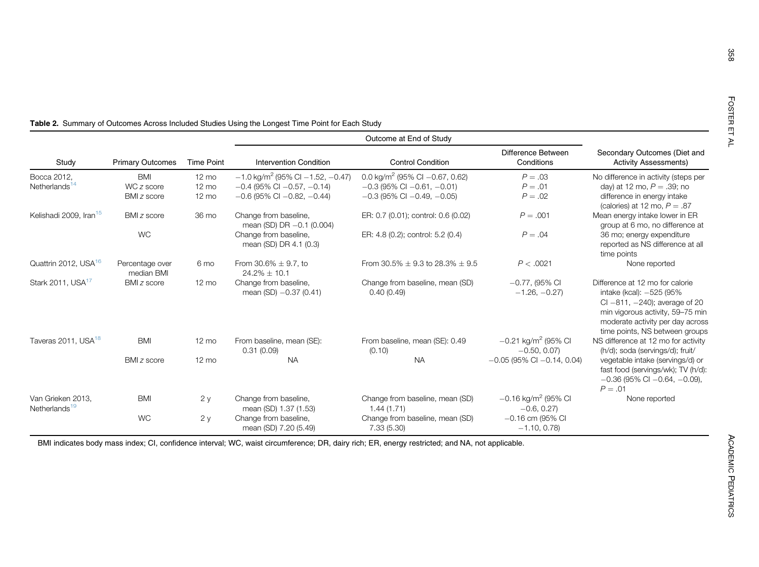358

|                                                |                               |                   | Outcome at End of Study                              |                                               |                                                    |                                                                                                                                                                                                              |  |
|------------------------------------------------|-------------------------------|-------------------|------------------------------------------------------|-----------------------------------------------|----------------------------------------------------|--------------------------------------------------------------------------------------------------------------------------------------------------------------------------------------------------------------|--|
| Study                                          | <b>Primary Outcomes</b>       | <b>Time Point</b> | <b>Intervention Condition</b>                        | <b>Control Condition</b>                      | Difference Between<br>Conditions                   | Secondary Outcomes (Diet and<br><b>Activity Assessments)</b>                                                                                                                                                 |  |
| Bocca 2012,                                    | <b>BMI</b>                    | $12 \text{ mo}$   | $-1.0$ kg/m <sup>2</sup> (95% Cl $-1.52$ , $-0.47$ ) | 0.0 kg/m <sup>2</sup> (95% CI $-0.67$ , 0.62) | $P=.03$                                            | No difference in activity (steps per                                                                                                                                                                         |  |
| Netherlands <sup>14</sup>                      | WC z score                    | $12 \text{ mo}$   | $-0.4$ (95% CI $-0.57$ , $-0.14$ )                   | $-0.3$ (95% CI $-0.61$ , $-0.01$ )            | $P = .01$                                          | day) at 12 mo, $P = .39$ ; no                                                                                                                                                                                |  |
|                                                | BMI z score                   | $12 \text{ mo}$   | $-0.6$ (95% CI $-0.82$ , $-0.44$ )                   | $-0.3$ (95% CI $-0.49$ , $-0.05$ )            | $P = .02$                                          | difference in energy intake<br>(calories) at 12 mo, $P = .87$                                                                                                                                                |  |
| Kelishadi 2009, Iran <sup>15</sup>             | BMI z score                   | 36 mo             | Change from baseline,<br>mean (SD) DR $-0.1$ (0.004) | ER: 0.7 (0.01); control: 0.6 (0.02)           | $P = .001$                                         | Mean energy intake lower in ER<br>group at 6 mo, no difference at                                                                                                                                            |  |
|                                                | <b>WC</b>                     |                   | Change from baseline,<br>mean (SD) DR 4.1 (0.3)      | ER: 4.8 (0.2); control: 5.2 (0.4)             | $P=.04$                                            | 36 mo; energy expenditure<br>reported as NS difference at all<br>time points                                                                                                                                 |  |
| Quattrin 2012, USA <sup>16</sup>               | Percentage over<br>median BMI | 6 mo              | From 30.6% $\pm$ 9.7, to<br>$24.2\% + 10.1$          | From 30.5% $\pm$ 9.3 to 28.3% $\pm$ 9.5       | P < .0021                                          | None reported                                                                                                                                                                                                |  |
| Stark 2011, USA <sup>17</sup>                  | BMI z score                   | $12 \text{ mo}$   | Change from baseline,<br>mean $(SD) -0.37 (0.41)$    | Change from baseline, mean (SD)<br>0.40(0.49) | $-0.77$ , (95% CI<br>$-1.26, -0.27$                | Difference at 12 mo for calorie<br>intake (kcal): -525 (95%<br>CI $-811$ , $-240$ ); average of 20<br>min vigorous activity, 59-75 min<br>moderate activity per day across<br>time points, NS between groups |  |
| Taveras 2011, USA <sup>18</sup>                | <b>BMI</b>                    | $12 \text{ mo}$   | From baseline, mean (SE):<br>0.31(0.09)              | From baseline, mean (SE): 0.49<br>(0.10)      | $-0.21$ kg/m <sup>2</sup> (95% CI<br>$-0.50, 0.07$ | NS difference at 12 mo for activity<br>(h/d); soda (servings/d); fruit/                                                                                                                                      |  |
|                                                | BMI z score                   | $12 \text{ mo}$   | <b>NA</b>                                            | <b>NA</b>                                     | $-0.05$ (95% CI $-0.14$ , 0.04)                    | vegetable intake (servings/d) or<br>fast food (servings/wk); TV (h/d):<br>$-0.36$ (95% CI $-0.64$ , $-0.09$ ),<br>$P = .01$                                                                                  |  |
| Van Grieken 2013,<br>Netherlands <sup>19</sup> | <b>BMI</b>                    | 2y                | Change from baseline,<br>mean (SD) 1.37 (1.53)       | Change from baseline, mean (SD)<br>1.44(1.71) | $-0.16$ kg/m <sup>2</sup> (95% CI<br>$-0.6, 0.27$  | None reported                                                                                                                                                                                                |  |
|                                                | <b>WC</b>                     | 2y                | Change from baseline,<br>mean (SD) 7.20 (5.49)       | Change from baseline, mean (SD)<br>7.33(5.30) | $-0.16$ cm (95% CI<br>$-1.10, 0.78$                |                                                                                                                                                                                                              |  |

<span id="page-5-0"></span>Table 2. Summary of Outcomes Across Included Studies Using the Longest Time Point for Each Study

BMI indicates body mass index; CI, confidence interval; WC, waist circumference; DR, dairy rich; ER, energy restricted; and NA, not applicable.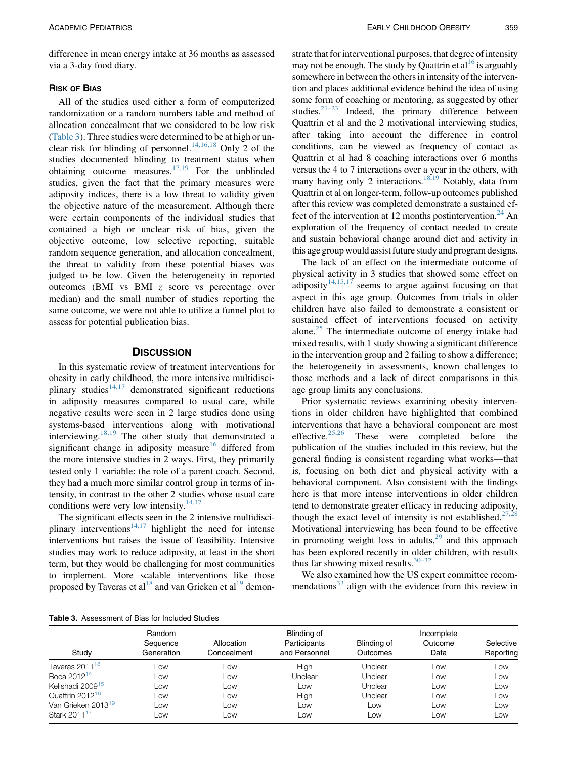difference in mean energy intake at 36 months as assessed via a 3-day food diary.

All of the studies used either a form of computerized randomization or a random numbers table and method of allocation concealment that we considered to be low risk (Table 3). Three studies were determined to be at high or un-clear risk for blinding of personnel.<sup>[14,16,18](#page-7-0)</sup> Only 2 of the studies documented blinding to treatment status when obtaining outcome measures.<sup>[17,19](#page-7-0)</sup> For the unblinded studies, given the fact that the primary measures were adiposity indices, there is a low threat to validity given the objective nature of the measurement. Although there were certain components of the individual studies that contained a high or unclear risk of bias, given the objective outcome, low selective reporting, suitable random sequence generation, and allocation concealment, the threat to validity from these potential biases was judged to be low. Given the heterogeneity in reported outcomes (BMI vs BMI z score vs percentage over median) and the small number of studies reporting the same outcome, we were not able to utilize a funnel plot to assess for potential publication bias.

In this systematic review of treatment interventions for obesity in early childhood, the more intensive multidisciplinary studies $14,17$  demonstrated significant reductions in adiposity measures compared to usual care, while negative results were seen in 2 large studies done using systems-based interventions along with motivational interviewing. $18,19$  The other study that demonstrated a significant change in adiposity measure<sup>[16](#page-7-0)</sup> differed from the more intensive studies in 2 ways. First, they primarily tested only 1 variable: the role of a parent coach. Second, they had a much more similar control group in terms of intensity, in contrast to the other 2 studies whose usual care conditions were very low intensity. $14,17$ 

The significant effects seen in the 2 intensive multidisci-plinary interventions<sup>[14,17](#page-7-0)</sup> highlight the need for intense interventions but raises the issue of feasibility. Intensive studies may work to reduce adiposity, at least in the short term, but they would be challenging for most communities to implement. More scalable interventions like those proposed by Taveras et al<sup>18</sup> and van Grieken et al<sup>[19](#page-7-0)</sup> demon-

strate that for interventional purposes, that degree of intensity may not be enough. The study by Quattrin et al  $16$  is arguably somewhere in between the others in intensity of the intervention and places additional evidence behind the idea of using some form of coaching or mentoring, as suggested by other studies. $2^{1-23}$  Indeed, the primary difference between Quattrin et al and the 2 motivational interviewing studies, after taking into account the difference in control conditions, can be viewed as frequency of contact as Quattrin et al had 8 coaching interactions over 6 months versus the 4 to 7 interactions over a year in the others, with many having only 2 interactions.<sup>[18,19](#page-7-0)</sup> Notably, data from Quattrin et al on longer-term, follow-up outcomes published after this review was completed demonstrate a sustained ef-fect of the intervention at 12 months postintervention.<sup>[24](#page-8-0)</sup> An exploration of the frequency of contact needed to create and sustain behavioral change around diet and activity in this age group would assist future study and program designs.

The lack of an effect on the intermediate outcome of physical activity in 3 studies that showed some effect on adiposity<sup>[14,15,17](#page-7-0)</sup> seems to argue against focusing on that aspect in this age group. Outcomes from trials in older children have also failed to demonstrate a consistent or sustained effect of interventions focused on activity alone. $25$  The intermediate outcome of energy intake had mixed results, with 1 study showing a significant difference in the intervention group and 2 failing to show a difference; the heterogeneity in assessments, known challenges to those methods and a lack of direct comparisons in this age group limits any conclusions.

Prior systematic reviews examining obesity interventions in older children have highlighted that combined interventions that have a behavioral component are most effective.[25,26](#page-8-0) These were completed before the publication of the studies included in this review, but the general finding is consistent regarding what works—that is, focusing on both diet and physical activity with a behavioral component. Also consistent with the findings here is that more intense interventions in older children tend to demonstrate greater efficacy in reducing adiposity, though the exact level of intensity is not established.<sup>27,2</sup> Motivational interviewing has been found to be effective in promoting weight loss in adults, $2^9$  and this approach has been explored recently in older children, with results thus far showing mixed results. $30-32$ 

We also examined how the US expert committee recom-mendations<sup>[33](#page-8-0)</sup> align with the evidence from this review in

| <b>Table 3.</b> Assessment of Bias for Included Studies |  |  |
|---------------------------------------------------------|--|--|
|                                                         |  |  |

|                                | Random                 |                           | Blinding of                   |                         | Incomplete      |                        |
|--------------------------------|------------------------|---------------------------|-------------------------------|-------------------------|-----------------|------------------------|
| Study                          | Sequence<br>Generation | Allocation<br>Concealment | Participants<br>and Personnel | Blinding of<br>Outcomes | Outcome<br>Data | Selective<br>Reporting |
| Taveras 2011 <sup>18</sup>     | Low                    | Low                       | High                          | Unclear                 | Low             | Low                    |
| Boca 2012 <sup>14</sup>        | $_{\text{OW}}$         | Low                       | Unclear                       | Unclear                 | Low             | Low                    |
| Kelishadi 2009 <sup>15</sup>   | $_{\text{OW}}$         | Low                       | Low                           | Unclear                 | Low             | Low                    |
| Quattrin 2012 <sup>16</sup>    | $_{\text{OW}}$         | Low                       | High                          | Unclear                 | Low             | Low                    |
| Van Grieken 2013 <sup>19</sup> | $_{\text{OW}}$         | Low                       | Low                           | $_{\text{OW}}$          | Low             | Low                    |
| Stark 2011 <sup>17</sup>       | LOW                    | Low                       | Low                           | Low                     | Low             | Low                    |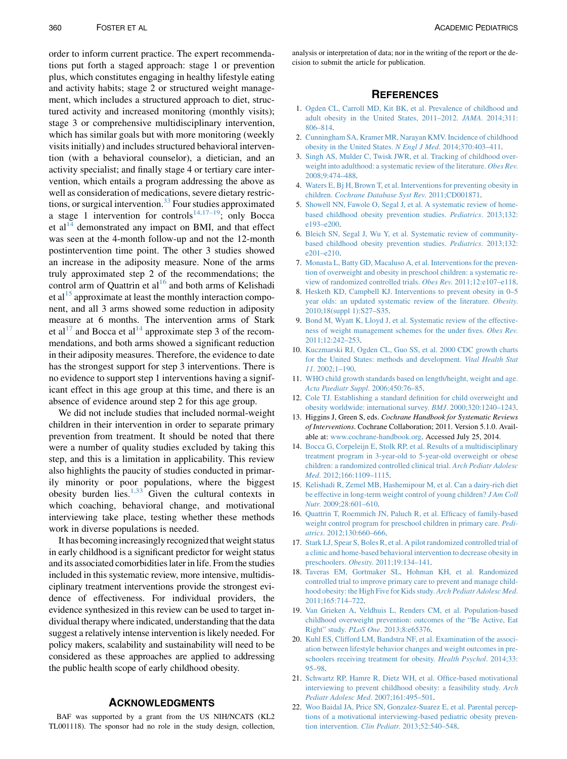<span id="page-7-0"></span>order to inform current practice. The expert recommendations put forth a staged approach: stage 1 or prevention plus, which constitutes engaging in healthy lifestyle eating and activity habits; stage 2 or structured weight management, which includes a structured approach to diet, structured activity and increased monitoring (monthly visits); stage 3 or comprehensive multidisciplinary intervention, which has similar goals but with more monitoring (weekly visits initially) and includes structured behavioral intervention (with a behavioral counselor), a dietician, and an activity specialist; and finally stage 4 or tertiary care intervention, which entails a program addressing the above as well as consideration of medications, severe dietary restric-tions, or surgical intervention.<sup>[33](#page-8-0)</sup> Four studies approximated a stage 1 intervention for controls<sup>14,17–19</sup>; only Bocca et al<sup>14</sup> demonstrated any impact on BMI, and that effect was seen at the 4-month follow-up and not the 12-month postintervention time point. The other 3 studies showed an increase in the adiposity measure. None of the arms truly approximated step 2 of the recommendations; the control arm of Quattrin et  $al<sup>16</sup>$  and both arms of Kelishadi et al<sup>15</sup> approximate at least the monthly interaction component, and all 3 arms showed some reduction in adiposity measure at 6 months. The intervention arms of Stark et al<sup>17</sup> and Bocca et al<sup>14</sup> approximate step 3 of the recommendations, and both arms showed a significant reduction in their adiposity measures. Therefore, the evidence to date has the strongest support for step 3 interventions. There is no evidence to support step 1 interventions having a significant effect in this age group at this time, and there is an absence of evidence around step 2 for this age group.

We did not include studies that included normal-weight children in their intervention in order to separate primary prevention from treatment. It should be noted that there were a number of quality studies excluded by taking this step, and this is a limitation in applicability. This review also highlights the paucity of studies conducted in primarily minority or poor populations, where the biggest obesity burden lies. $1,33$  Given the cultural contexts in which coaching, behavioral change, and motivational interviewing take place, testing whether these methods work in diverse populations is needed.

It has becoming increasingly recognized that weight status in early childhood is a significant predictor for weight status and its associated comorbidities later in life. From the studies included in this systematic review, more intensive, multidisciplinary treatment interventions provide the strongest evidence of effectiveness. For individual providers, the evidence synthesized in this review can be used to target individual therapy where indicated, understanding that the data suggest a relatively intense intervention is likely needed. For policy makers, scalability and sustainability will need to be considered as these approaches are applied to addressing the public health scope of early childhood obesity.

## **ACKNOWLEDGMENTS**

BAF was supported by a grant from the US NIH/NCATS (KL2 TL001118). The sponsor had no role in the study design, collection,

analysis or interpretation of data; nor in the writing of the report or the decision to submit the article for publication.

## **REFERENCES**

- 1. [Ogden CL, Carroll MD, Kit BK, et al. Prevalence of childhood and](http://refhub.elsevier.com/S1876-2859(15)00167-9/sref1) [adult obesity in the United States, 2011–2012.](http://refhub.elsevier.com/S1876-2859(15)00167-9/sref1) JAMA. 2014;311: [806–814.](http://refhub.elsevier.com/S1876-2859(15)00167-9/sref1)
- 2. [Cunningham SA, Kramer MR, Narayan KMV. Incidence of childhood](http://refhub.elsevier.com/S1876-2859(15)00167-9/sref2) [obesity in the United States.](http://refhub.elsevier.com/S1876-2859(15)00167-9/sref2) N Engl J Med. 2014;370:403–411.
- 3. [Singh AS, Mulder C, Twisk JWR, et al. Tracking of childhood over](http://refhub.elsevier.com/S1876-2859(15)00167-9/sref3)[weight into adulthood: a systematic review of the literature.](http://refhub.elsevier.com/S1876-2859(15)00167-9/sref3) Obes Rev. [2008;9:474–488](http://refhub.elsevier.com/S1876-2859(15)00167-9/sref3).
- 4. [Waters E, Bj H, Brown T, et al. Interventions for preventing obesity in](http://refhub.elsevier.com/S1876-2859(15)00167-9/sref4) children. [Cochrane Database Syst Rev](http://refhub.elsevier.com/S1876-2859(15)00167-9/sref4). 2011;CD001871.
- 5. [Showell NN, Fawole O, Segal J, et al. A systematic review of home](http://refhub.elsevier.com/S1876-2859(15)00167-9/sref5)[based childhood obesity prevention studies.](http://refhub.elsevier.com/S1876-2859(15)00167-9/sref5) Pediatrics. 2013;132: [e193–e200](http://refhub.elsevier.com/S1876-2859(15)00167-9/sref5).
- 6. [Bleich SN, Segal J, Wu Y, et al. Systematic review of community](http://refhub.elsevier.com/S1876-2859(15)00167-9/sref6)[based childhood obesity prevention studies.](http://refhub.elsevier.com/S1876-2859(15)00167-9/sref6) Pediatrics. 2013;132: [e201–e210](http://refhub.elsevier.com/S1876-2859(15)00167-9/sref6).
- 7. [Monasta L, Batty GD, Macaluso A, et al. Interventions for the preven](http://refhub.elsevier.com/S1876-2859(15)00167-9/sref7)[tion of overweight and obesity in preschool children: a systematic re](http://refhub.elsevier.com/S1876-2859(15)00167-9/sref7)[view of randomized controlled trials.](http://refhub.elsevier.com/S1876-2859(15)00167-9/sref7) Obes Rev. 2011;12:e107–e118.
- 8. [Hesketh KD, Campbell KJ. Interventions to prevent obesity in 0–5](http://refhub.elsevier.com/S1876-2859(15)00167-9/sref8) [year olds: an updated systematic review of the literature.](http://refhub.elsevier.com/S1876-2859(15)00167-9/sref8) Obesity. [2010;18\(suppl 1\):S27–S35.](http://refhub.elsevier.com/S1876-2859(15)00167-9/sref8)
- 9. [Bond M, Wyatt K, Lloyd J, et al. Systematic review of the effective](http://refhub.elsevier.com/S1876-2859(15)00167-9/sref9)[ness of weight management schemes for the under fives.](http://refhub.elsevier.com/S1876-2859(15)00167-9/sref9) Obes Rev. [2011;12:242–253](http://refhub.elsevier.com/S1876-2859(15)00167-9/sref9).
- 10. [Kuczmarski RJ, Ogden CL, Guo SS, et al. 2000 CDC growth charts](http://refhub.elsevier.com/S1876-2859(15)00167-9/sref10) [for the United States: methods and development.](http://refhub.elsevier.com/S1876-2859(15)00167-9/sref10) Vital Health Stat 11[. 2002;1–190](http://refhub.elsevier.com/S1876-2859(15)00167-9/sref10).
- 11. [WHO child growth standards based on length/height, weight and age.](http://refhub.elsevier.com/S1876-2859(15)00167-9/sref11) [Acta Paediatr Suppl](http://refhub.elsevier.com/S1876-2859(15)00167-9/sref11). 2006;450:76–85.
- 12. [Cole TJ. Establishing a standard definition for child overweight and](http://refhub.elsevier.com/S1876-2859(15)00167-9/sref12) [obesity worldwide: international survey.](http://refhub.elsevier.com/S1876-2859(15)00167-9/sref12) BMJ. 2000;320:1240–1243.
- 13. Higgins J, Green S, eds. Cochrane Handbook for Systematic Reviews of Interventions. Cochrane Collaboration; 2011. Version 5.1.0. Available at: [www.cochrane-handbook.org.](http://www.cochrane-handbook.org) Accessed July 25, 2014.
- 14. [Bocca G, Corpeleijn E, Stolk RP, et al. Results of a multidisciplinary](http://refhub.elsevier.com/S1876-2859(15)00167-9/sref14) [treatment program in 3-year-old to 5-year-old overweight or obese](http://refhub.elsevier.com/S1876-2859(15)00167-9/sref14) [children: a randomized controlled clinical trial.](http://refhub.elsevier.com/S1876-2859(15)00167-9/sref14) Arch Pediatr Adolesc Med[. 2012;166:1109–1115.](http://refhub.elsevier.com/S1876-2859(15)00167-9/sref14)
- 15. [Kelishadi R, Zemel MB, Hashemipour M, et al. Can a dairy-rich diet](http://refhub.elsevier.com/S1876-2859(15)00167-9/sref15) [be effective in long-term weight control of young children?](http://refhub.elsevier.com/S1876-2859(15)00167-9/sref15) J Am Coll Nutr[. 2009;28:601–610.](http://refhub.elsevier.com/S1876-2859(15)00167-9/sref15)
- 16. [Quattrin T, Roemmich JN, Paluch R, et al. Efficacy of family-based](http://refhub.elsevier.com/S1876-2859(15)00167-9/sref16) [weight control program for preschool children in primary care.](http://refhub.elsevier.com/S1876-2859(15)00167-9/sref16) Pediatrics[. 2012;130:660–666.](http://refhub.elsevier.com/S1876-2859(15)00167-9/sref16)
- 17. [Stark LJ, Spear S, Boles R, et al. A pilot randomized controlled trial of](http://refhub.elsevier.com/S1876-2859(15)00167-9/sref17) [a clinic and home-based behavioral intervention to decrease obesity in](http://refhub.elsevier.com/S1876-2859(15)00167-9/sref17) preschoolers. Obesity[. 2011;19:134–141.](http://refhub.elsevier.com/S1876-2859(15)00167-9/sref17)
- 18. [Taveras EM, Gortmaker SL, Hohman KH, et al. Randomized](http://refhub.elsevier.com/S1876-2859(15)00167-9/sref18) [controlled trial to improve primary care to prevent and manage child](http://refhub.elsevier.com/S1876-2859(15)00167-9/sref18)[hood obesity: the High Five for Kids study.](http://refhub.elsevier.com/S1876-2859(15)00167-9/sref18) Arch Pediatr Adolesc Med. [2011;165:714–722](http://refhub.elsevier.com/S1876-2859(15)00167-9/sref18).
- 19. [Van Grieken A, Veldhuis L, Renders CM, et al. Population-based](http://refhub.elsevier.com/S1876-2859(15)00167-9/sref19) [childhood overweight prevention: outcomes of the "Be Active, Eat](http://refhub.elsevier.com/S1876-2859(15)00167-9/sref19) Right" study. PLoS One[. 2013;8:e65376](http://refhub.elsevier.com/S1876-2859(15)00167-9/sref19).
- 20. [Kuhl ES, Clifford LM, Bandstra NF, et al. Examination of the associ](http://refhub.elsevier.com/S1876-2859(15)00167-9/sref20)[ation between lifestyle behavior changes and weight outcomes in pre](http://refhub.elsevier.com/S1876-2859(15)00167-9/sref20)[schoolers receiving treatment for obesity.](http://refhub.elsevier.com/S1876-2859(15)00167-9/sref20) Health Psychol. 2014;33: [95–98](http://refhub.elsevier.com/S1876-2859(15)00167-9/sref20).
- 21. [Schwartz RP, Hamre R, Dietz WH, et al. Office-based motivational](http://refhub.elsevier.com/S1876-2859(15)00167-9/sref21) [interviewing to prevent childhood obesity: a feasibility study.](http://refhub.elsevier.com/S1876-2859(15)00167-9/sref21) Arch [Pediatr Adolesc Med](http://refhub.elsevier.com/S1876-2859(15)00167-9/sref21). 2007;161:495–501.
- 22. [Woo Baidal JA, Price SN, Gonzalez-Suarez E, et al. Parental percep](http://refhub.elsevier.com/S1876-2859(15)00167-9/sref22)[tions of a motivational interviewing-based pediatric obesity preven](http://refhub.elsevier.com/S1876-2859(15)00167-9/sref22)tion intervention. Clin Pediatr[. 2013;52:540–548.](http://refhub.elsevier.com/S1876-2859(15)00167-9/sref22)